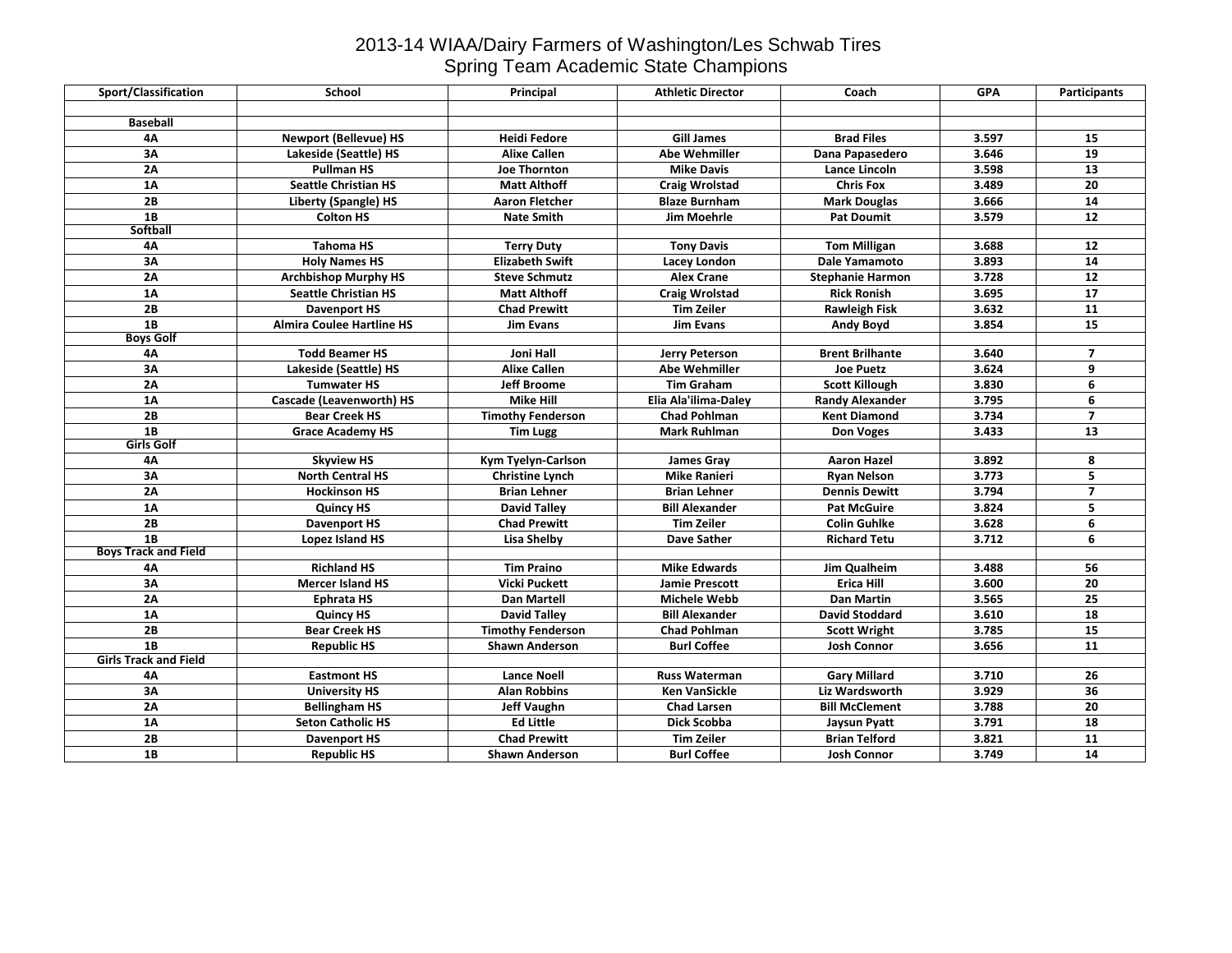## 2013-14 WIAA/Dairy Farmers of Washington/Les Schwab Tires Spring Team Academic State Champions

| Sport/Classification         | School                           | Principal                | <b>Athletic Director</b> | Coach                   | <b>GPA</b> | Participants    |
|------------------------------|----------------------------------|--------------------------|--------------------------|-------------------------|------------|-----------------|
|                              |                                  |                          |                          |                         |            |                 |
| <b>Baseball</b>              |                                  |                          |                          |                         |            |                 |
| <b>4A</b>                    | <b>Newport (Bellevue) HS</b>     | <b>Heidi Fedore</b>      | <b>Gill James</b>        | <b>Brad Files</b>       | 3.597      | 15              |
| 3A                           | Lakeside (Seattle) HS            | <b>Alixe Callen</b>      | <b>Abe Wehmiller</b>     | Dana Papasedero         | 3.646      | $\overline{19}$ |
| 2A                           | <b>Pullman HS</b>                | <b>Joe Thornton</b>      | <b>Mike Davis</b>        | Lance Lincoln           | 3.598      | 13              |
| 1A                           | <b>Seattle Christian HS</b>      | <b>Matt Althoff</b>      | <b>Craig Wrolstad</b>    | <b>Chris Fox</b>        | 3.489      | 20              |
| 2B                           | <b>Liberty (Spangle) HS</b>      | <b>Aaron Fletcher</b>    | <b>Blaze Burnham</b>     | <b>Mark Douglas</b>     | 3.666      | $\overline{14}$ |
| 1B                           | <b>Colton HS</b>                 | <b>Nate Smith</b>        | <b>Jim Moehrle</b>       | <b>Pat Doumit</b>       | 3.579      | 12              |
| <b>Softball</b>              |                                  |                          |                          |                         |            |                 |
| 4А                           | <b>Tahoma HS</b>                 | <b>Terry Duty</b>        | <b>Tony Davis</b>        | <b>Tom Milligan</b>     | 3.688      | 12              |
| 3A                           | <b>Holy Names HS</b>             | <b>Elizabeth Swift</b>   | Lacey London             | <b>Dale Yamamoto</b>    | 3.893      | 14              |
| 2A                           | <b>Archbishop Murphy HS</b>      | <b>Steve Schmutz</b>     | <b>Alex Crane</b>        | <b>Stephanie Harmon</b> | 3.728      | 12              |
| <b>1A</b>                    | <b>Seattle Christian HS</b>      | <b>Matt Althoff</b>      | <b>Craig Wrolstad</b>    | <b>Rick Ronish</b>      | 3.695      | 17              |
| 2B                           | <b>Davenport HS</b>              | <b>Chad Prewitt</b>      | <b>Tim Zeiler</b>        | <b>Rawleigh Fisk</b>    | 3.632      | 11              |
| 1B                           | <b>Almira Coulee Hartline HS</b> | <b>Jim Evans</b>         | <b>Jim Evans</b>         | <b>Andy Boyd</b>        | 3.854      | $\overline{15}$ |
| <b>Boys Golf</b>             |                                  |                          |                          |                         |            |                 |
| 4Α                           | <b>Todd Beamer HS</b>            | Joni Hall                | Jerry Peterson           | <b>Brent Brilhante</b>  | 3.640      | $\overline{7}$  |
| 3A                           | Lakeside (Seattle) HS            | <b>Alixe Callen</b>      | <b>Abe Wehmiller</b>     | <b>Joe Puetz</b>        | 3.624      | 9               |
| 2A                           | <b>Tumwater HS</b>               | <b>Jeff Broome</b>       | <b>Tim Graham</b>        | <b>Scott Killough</b>   | 3.830      | 6               |
| 1A                           | <b>Cascade (Leavenworth) HS</b>  | <b>Mike Hill</b>         | Elia Ala'ilima-Daley     | <b>Randy Alexander</b>  | 3.795      | 6               |
| 2B                           | <b>Bear Creek HS</b>             | <b>Timothy Fenderson</b> | <b>Chad Pohlman</b>      | <b>Kent Diamond</b>     | 3.734      | $\overline{7}$  |
| 1B                           | <b>Grace Academy HS</b>          | <b>Tim Lugg</b>          | <b>Mark Ruhlman</b>      | <b>Don Voges</b>        | 3.433      | 13              |
| <b>Girls Golf</b>            |                                  |                          |                          |                         |            |                 |
| 4Α                           | <b>Skyview HS</b>                | Kym Tyelyn-Carlson       | <b>James Gray</b>        | <b>Aaron Hazel</b>      | 3.892      | 8               |
| 3A                           | <b>North Central HS</b>          | <b>Christine Lynch</b>   | <b>Mike Ranieri</b>      | <b>Ryan Nelson</b>      | 3.773      | 5               |
| 2A                           | <b>Hockinson HS</b>              | <b>Brian Lehner</b>      | <b>Brian Lehner</b>      | <b>Dennis Dewitt</b>    | 3.794      | $\overline{7}$  |
| 1A                           | <b>Quincy HS</b>                 | <b>David Talley</b>      | <b>Bill Alexander</b>    | <b>Pat McGuire</b>      | 3.824      | 5               |
| 2B                           | <b>Davenport HS</b>              | <b>Chad Prewitt</b>      | <b>Tim Zeiler</b>        | <b>Colin Guhlke</b>     | 3.628      | 6               |
| 1B                           | Lopez Island HS                  | Lisa Shelby              | <b>Dave Sather</b>       | <b>Richard Tetu</b>     | 3.712      | 6               |
| <b>Boys Track and Field</b>  |                                  |                          |                          |                         |            |                 |
| 4Α                           | <b>Richland HS</b>               | <b>Tim Praino</b>        | <b>Mike Edwards</b>      | Jim Qualheim            | 3.488      | 56              |
| 3A                           | <b>Mercer Island HS</b>          | Vicki Puckett            | <b>Jamie Prescott</b>    | <b>Erica Hill</b>       | 3.600      | 20              |
| 2A                           | <b>Ephrata HS</b>                | <b>Dan Martell</b>       | <b>Michele Webb</b>      | <b>Dan Martin</b>       | 3.565      | 25              |
| 1A                           | <b>Quincy HS</b>                 | <b>David Talley</b>      | <b>Bill Alexander</b>    | <b>David Stoddard</b>   | 3.610      | 18              |
| 2B                           | <b>Bear Creek HS</b>             | <b>Timothy Fenderson</b> | <b>Chad Pohlman</b>      | <b>Scott Wright</b>     | 3.785      | $\overline{15}$ |
| 1B                           | <b>Republic HS</b>               | <b>Shawn Anderson</b>    | <b>Burl Coffee</b>       | <b>Josh Connor</b>      | 3.656      | $\overline{11}$ |
| <b>Girls Track and Field</b> |                                  |                          |                          |                         |            |                 |
| 4Α                           | <b>Eastmont HS</b>               | <b>Lance Noell</b>       | <b>Russ Waterman</b>     | <b>Gary Millard</b>     | 3.710      | 26              |
| 3A                           | <b>University HS</b>             | <b>Alan Robbins</b>      | <b>Ken VanSickle</b>     | <b>Liz Wardsworth</b>   | 3.929      | 36              |
| 2A                           | <b>Bellingham HS</b>             | <b>Jeff Vaughn</b>       | <b>Chad Larsen</b>       | <b>Bill McClement</b>   | 3.788      | 20              |
| $1\text{A}$                  | <b>Seton Catholic HS</b>         | <b>Ed Little</b>         | Dick Scobba              | Jaysun Pyatt            | 3.791      | 18              |
| 2B                           | Davenport HS                     | <b>Chad Prewitt</b>      | <b>Tim Zeiler</b>        | <b>Brian Telford</b>    | 3.821      | 11              |
| 1B                           | <b>Republic HS</b>               | <b>Shawn Anderson</b>    | <b>Burl Coffee</b>       | <b>Josh Connor</b>      | 3.749      | 14              |